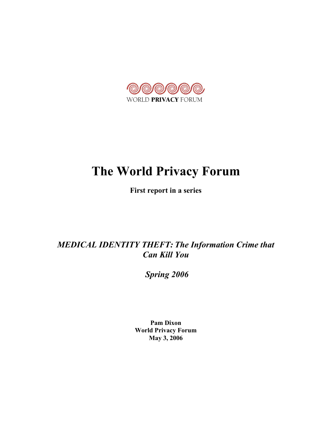

# The World Privacy Forum

First report in a series

*MEDICAL IDENTITY THEFT: The Information Crime that Can Kill You*

 *Spring 2006*

Pam Dixon World Privacy Forum May 3, 2006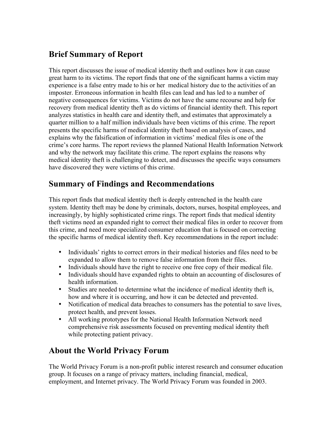# Brief Summary of Report

This report discusses the issue of medical identity theft and outlines how it can cause great harm to its victims. The report finds that one of the significant harms a victim may experience is a false entry made to his or her medical history due to the activities of an imposter. Erroneous information in health files can lead and has led to a number of negative consequences for victims. Victims do not have the same recourse and help for recovery from medical identity theft as do victims of financial identity theft. This report analyzes statistics in health care and identity theft, and estimates that approximately a quarter million to a half million individuals have been victims of this crime. The report presents the specific harms of medical identity theft based on analysis of cases, and explains why the falsification of information in victims' medical files is one of the crime's core harms. The report reviews the planned National Health Information Network and why the network may facilitate this crime. The report explains the reasons why medical identity theft is challenging to detect, and discusses the specific ways consumers have discovered they were victims of this crime.

## Summary of Findings and Recommendations

This report finds that medical identity theft is deeply entrenched in the health care system. Identity theft may be done by criminals, doctors, nurses, hospital employees, and increasingly, by highly sophisticated crime rings. The report finds that medical identity theft victims need an expanded right to correct their medical files in order to recover from this crime, and need more specialized consumer education that is focused on correcting the specific harms of medical identity theft. Key recommendations in the report include:

- Individuals' rights to correct errors in their medical histories and files need to be expanded to allow them to remove false information from their files.
- Individuals should have the right to receive one free copy of their medical file.
- Individuals should have expanded rights to obtain an accounting of disclosures of health information.
- Studies are needed to determine what the incidence of medical identity theft is, how and where it is occurring, and how it can be detected and prevented.
- Notification of medical data breaches to consumers has the potential to save lives, protect health, and prevent losses.
- All working prototypes for the National Health Information Network need comprehensive risk assessments focused on preventing medical identity theft while protecting patient privacy.

# About the World Privacy Forum

The World Privacy Forum is a non-profit public interest research and consumer education group. It focuses on a range of privacy matters, including financial, medical, employment, and Internet privacy. The World Privacy Forum was founded in 2003.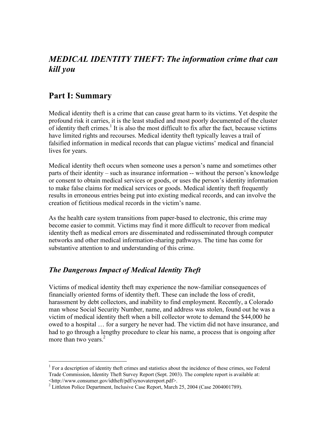## *MEDICAL IDENTITY THEFT: The information crime that can kill you*

## Part I: Summary

Medical identity theft is a crime that can cause great harm to its victims. Yet despite the profound risk it carries, it is the least studied and most poorly documented of the cluster of identity theft crimes.<sup>1</sup> It is also the most difficult to fix after the fact, because victims have limited rights and recourses. Medical identity theft typically leaves a trail of falsified information in medical records that can plague victims' medical and financial lives for years.

Medical identity theft occurs when someone uses a person's name and sometimes other parts of their identity – such as insurance information -- without the person's knowledge or consent to obtain medical services or goods, or uses the person's identity information to make false claims for medical services or goods. Medical identity theft frequently results in erroneous entries being put into existing medical records, and can involve the creation of fictitious medical records in the victim's name.

As the health care system transitions from paper-based to electronic, this crime may become easier to commit. Victims may find it more difficult to recover from medical identity theft as medical errors are disseminated and redisseminated through computer networks and other medical information-sharing pathways. The time has come for substantive attention to and understanding of this crime.

#### *The Dangerous Impact of Medical Identity Theft*

Victims of medical identity theft may experience the now-familiar consequences of financially oriented forms of identity theft. These can include the loss of credit, harassment by debt collectors, and inability to find employment. Recently, a Colorado man whose Social Security Number, name, and address was stolen, found out he was a victim of medical identity theft when a bill collector wrote to demand the \$44,000 he owed to a hospital … for a surgery he never had. The victim did not have insurance, and had to go through a lengthy procedure to clear his name, a process that is ongoing after more than two years. $2$ 

 $<sup>1</sup>$  For a description of identity theft crimes and statistics about the incidence of these crimes, see Federal</sup> Trade Commission, Identity Theft Survey Report (Sept. 2003). The complete report is available at: <http://www.consumer.gov/idtheft/pdf/synovatereport.pdf>.

<sup>&</sup>lt;sup>2</sup> Littleton Police Department, Inclusive Case Report, March 25, 2004 (Case 2004001789).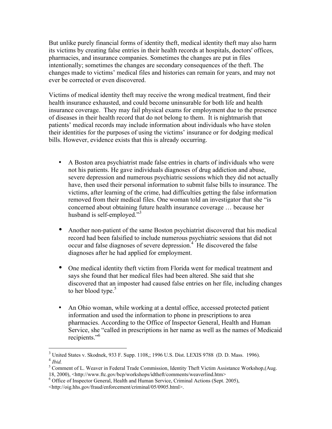But unlike purely financial forms of identity theft, medical identity theft may also harm its victims by creating false entries in their health records at hospitals, doctors' offices, pharmacies, and insurance companies. Sometimes the changes are put in files intentionally; sometimes the changes are secondary consequences of the theft. The changes made to victims' medical files and histories can remain for years, and may not ever be corrected or even discovered.

Victims of medical identity theft may receive the wrong medical treatment, find their health insurance exhausted, and could become uninsurable for both life and health insurance coverage. They may fail physical exams for employment due to the presence of diseases in their health record that do not belong to them. It is nightmarish that patients' medical records may include information about individuals who have stolen their identities for the purposes of using the victims' insurance or for dodging medical bills. However, evidence exists that this is already occurring.

- A Boston area psychiatrist made false entries in charts of individuals who were not his patients. He gave individuals diagnoses of drug addiction and abuse, severe depression and numerous psychiatric sessions which they did not actually have, then used their personal information to submit false bills to insurance. The victims, after learning of the crime, had difficulties getting the false information removed from their medical files. One woman told an investigator that she "is concerned about obtaining future health insurance coverage … because her husband is self-employed."<sup>3</sup>
- Another non-patient of the same Boston psychiatrist discovered that his medical record had been falsified to include numerous psychiatric sessions that did not occur and false diagnoses of severe depression.<sup>4</sup> He discovered the false diagnoses after he had applied for employment.
- One medical identity theft victim from Florida went for medical treatment and says she found that her medical files had been altered. She said that she discovered that an imposter had caused false entries on her file, including changes to her blood type. $5$
- An Ohio woman, while working at a dental office, accessed protected patient information and used the information to phone in prescriptions to area pharmacies. According to the Office of Inspector General, Health and Human Service, she "called in prescriptions in her name as well as the names of Medicaid recipients."<sup>6</sup>

<sup>3</sup> United States v. Skodnek, 933 F. Supp. 1108,; 1996 U.S. Dist. LEXIS 9788 (D. D. Mass. 1996). <sup>4</sup> *Ibid.*

<sup>&</sup>lt;sup>5</sup> Comment of L. Weaver in Federal Trade Commission, Identity Theft Victim Assistance Workshop, (Aug. 18, 2000), <http://www.ftc.gov/bcp/workshops/idtheft/comments/weaverlind.htm>

<sup>&</sup>lt;sup>6</sup> Office of Inspector General, Health and Human Service, Criminal Actions (Sept. 2005),

<sup>&</sup>lt;http://oig.hhs.gov/fraud/enforcement/criminal/05/0905.html>.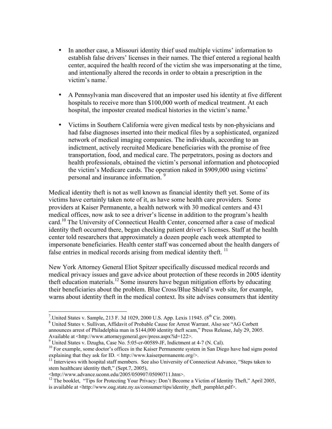- In another case, a Missouri identity thief used multiple victims' information to establish false drivers' licenses in their names. The thief entered a regional health center, acquired the health record of the victim she was impersonating at the time, and intentionally altered the records in order to obtain a prescription in the victim's name. $\frac{7}{2}$
- A Pennsylvania man discovered that an imposter used his identity at five different hospitals to receive more than \$100,000 worth of medical treatment. At each hospital, the imposter created medical histories in the victim's name.<sup>8</sup>
- Victims in Southern California were given medical tests by non-physicians and had false diagnoses inserted into their medical files by a sophisticated, organized network of medical imaging companies. The individuals, according to an indictment, actively recruited Medicare beneficiaries with the promise of free transportation, food, and medical care. The perpetrators, posing as doctors and health professionals, obtained the victim's personal information and photocopied the victim's Medicare cards. The operation raked in \$909,000 using victims' personal and insurance information.<sup>9</sup>

Medical identity theft is not as well known as financial identity theft yet. Some of its victims have certainly taken note of it, as have some health care providers. Some providers at Kaiser Permanente, a health network with 30 medical centers and 431 medical offices, now ask to see a driver's license in addition to the program's health card.<sup>10</sup> The University of Connecticut Health Center, concerned after a case of medical identity theft occurred there, began checking patient driver's licenses. Staff at the health center told researchers that approximately a dozen people each week attempted to impersonate beneficiaries. Health center staff was concerned about the health dangers of false entries in medical records arising from medical identity theft.  $\frac{11}{11}$ 

New York Attorney General Eliot Spitzer specifically discussed medical records and medical privacy issues and gave advice about protection of these records in 2005 identity theft education materials.<sup>12</sup> Some insurers have begun mitigation efforts by educating their beneficiaries about the problem. Blue Cross/Blue Shield's web site, for example, warns about identity theft in the medical context. Its site advises consumers that identity

<sup>-&</sup>lt;br>7 <sup>7</sup>.United States v. Sample, 213 F. 3d 1029, 2000 U.S. App. Lexis 11945. ( $8<sup>th</sup> Cir. 2000$ ).  $8$  United States v. Sullivan, Affidavit of Probable Cause for Arrest Warrant. Also see "AG Corbett"

announces arrest of Philadelphia man in \$144,000 identity theft scam," Press Release, July 29, 2005.

Available at <http://www.attorneygeneral.gov/press.aspx?id=122>.<br><sup>9</sup> United States v. Dzugha, Case No. 5:05-cr-00589-JF, Indictment at 4-7 (N. Cal).

<sup>&</sup>lt;sup>10</sup> For example, some doctor's offices in the Kaiser Permanente system in San Diego have had signs posted explaining that they ask for ID. < http://www.kaiserpermanente.org/>.

 $11$  Interviews with hospital staff members. See also University of Connecticut Advance, "Steps taken to stem healthcare identity theft," (Sept.7, 2005),

<sup>&</sup>lt;http://www.advance.uconn.edu/2005/050907/05090711.htm>.

<sup>&</sup>lt;sup>12</sup> The booklet, "Tips for Protecting Your Privacy: Don't Become a Victim of Identity Theft," April 2005, is available at <http://www.oag.state.ny.us/consumer/tips/identity\_theft\_pamphlet.pdf>.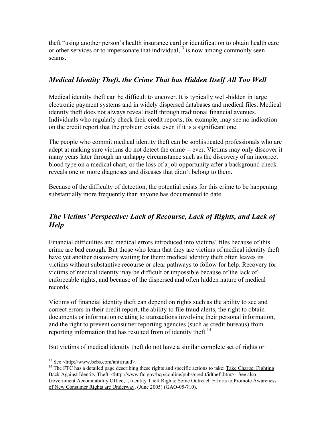theft "using another person's health insurance card or identification to obtain health care or other services or to impersonate that individual, $^{13}$  is now among commonly seen scams.

## *Medical Identity Theft, the Crime That has Hidden Itself All Too Well*

Medical identity theft can be difficult to uncover. It is typically well-hidden in large electronic payment systems and in widely dispersed databases and medical files. Medical identity theft does not always reveal itself through traditional financial avenues. Individuals who regularly check their credit reports, for example, may see no indication on the credit report that the problem exists, even if it is a significant one.

The people who commit medical identity theft can be sophisticated professionals who are adept at making sure victims do not detect the crime -- ever. Victims may only discover it many years later through an unhappy circumstance such as the discovery of an incorrect blood type on a medical chart, or the loss of a job opportunity after a background check reveals one or more diagnoses and diseases that didn't belong to them.

Because of the difficulty of detection, the potential exists for this crime to be happening substantially more frequently than anyone has documented to date.

## *The Victims' Perspective: Lack of Recourse, Lack of Rights, and Lack of Help*

Financial difficulties and medical errors introduced into victims' files because of this crime are bad enough. But those who learn that they are victims of medical identity theft have yet another discovery waiting for them: medical identity theft often leaves its victims without substantive recourse or clear pathways to follow for help. Recovery for victims of medical identity may be difficult or impossible because of the lack of enforceable rights, and because of the dispersed and often hidden nature of medical records.

Victims of financial identity theft can depend on rights such as the ability to see and correct errors in their credit report, the ability to file fraud alerts, the right to obtain documents or information relating to transactions involving their personal information, and the right to prevent consumer reporting agencies (such as credit bureaus) from reporting information that has resulted from of identity theft.<sup>14</sup>

But victims of medical identity theft do not have a similar complete set of rights or

13 See <http://www.bcbs.com/antifraud>.

<sup>&</sup>lt;sup>14</sup> The FTC has a detailed page describing these rights and specific actions to take: Take Charge: Fighting Back Against Identity Theft. <http://www.ftc.gov/bcp/conline/pubs/credit/idtheft.htm>. See also Government Accountability Office, , Identity Theft Rights: Some Outreach Efforts to Promote Awareness of New Consumer Rights are Underway, (June 2005) (GAO-05-710).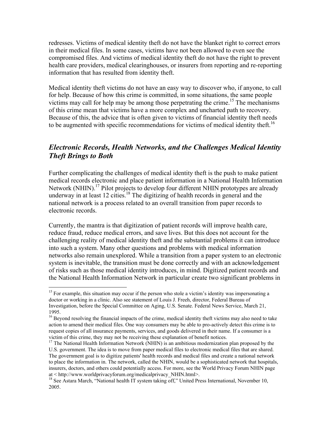redresses. Victims of medical identity theft do not have the blanket right to correct errors in their medical files. In some cases, victims have not been allowed to even see the compromised files. And victims of medical identity theft do not have the right to prevent health care providers, medical clearinghouses, or insurers from reporting and re-reporting information that has resulted from identity theft.

Medical identity theft victims do not have an easy way to discover who, if anyone, to call for help. Because of how this crime is committed, in some situations, the same people victims may call for help may be among those perpetrating the crime.<sup>15</sup> The mechanisms of this crime mean that victims have a more complex and uncharted path to recovery. Because of this, the advice that is often given to victims of financial identity theft needs to be augmented with specific recommendations for victims of medical identity theft.<sup>16</sup>

#### *Electronic Records, Health Networks, and the Challenges Medical Identity Theft Brings to Both*

Further complicating the challenges of medical identity theft is the push to make patient medical records electronic and place patient information in a National Health Information Network (NHIN).<sup>17</sup> Pilot projects to develop four different NHIN prototypes are already underway in at least 12 cities.<sup>18</sup> The digitizing of health records in general and the national network is a process related to an overall transition from paper records to electronic records.

Currently, the mantra is that digitization of patient records will improve health care, reduce fraud, reduce medical errors, and save lives. But this does not account for the challenging reality of medical identity theft and the substantial problems it can introduce into such a system. Many other questions and problems with medical information networks also remain unexplored. While a transition from a paper system to an electronic system is inevitable, the transition must be done correctly and with an acknowledgement of risks such as those medical identity introduces, in mind. Digitized patient records and the National Health Information Network in particular create two significant problems in

<sup>&</sup>lt;sup>15</sup> For example, this situation may occur if the person who stole a victim's identity was impersonating a doctor or working in a clinic. Also see statement of Louis J. Freeh, director, Federal Bureau of Investigation, before the Special Committee on Aging, U.S. Senate. Federal News Service, March 21, 1995.

<sup>&</sup>lt;sup>16</sup> Beyond resolving the financial impacts of the crime, medical identity theft victims may also need to take action to amend their medical files. One way consumers may be able to pro-actively detect this crime is to request copies of all insurance payments, services, and goods delivered in their name. If a consumer is a victim of this crime, they may not be receiving these explanation of benefit notices.

<sup>&</sup>lt;sup>17</sup> The National Health Information Network (NHIN) is an ambitious modernization plan proposed by the U.S. government. The idea is to move from paper medical files to electronic medical files that are shared. The government goal is to digitize patients' health records and medical files and create a national network to place the information in. The network, called the NHIN, would be a sophisticated network that hospitals, insurers, doctors, and others could potentially access. For more, see the World Privacy Forum NHIN page at < http://www.worldprivacyforum.org/medicalprivacy\_NHIN.html>.

<sup>&</sup>lt;sup>18</sup> See Astara March, "National health IT system taking off," United Press International, November 10, 2005.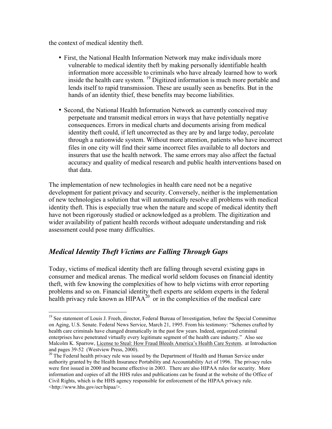the context of medical identity theft.

- First, the National Health Information Network may make individuals more vulnerable to medical identity theft by making personally identifiable health information more accessible to criminals who have already learned how to work inside the health care system. <sup>19</sup> Digitized information is much more portable and lends itself to rapid transmission. These are usually seen as benefits. But in the hands of an identity thief, these benefits may become liabilities.
- Second, the National Health Information Network as currently conceived may perpetuate and transmit medical errors in ways that have potentially negative consequences. Errors in medical charts and documents arising from medical identity theft could, if left uncorrected as they are by and large today, percolate through a nationwide system. Without more attention, patients who have incorrect files in one city will find their same incorrect files available to all doctors and insurers that use the health network. The same errors may also affect the factual accuracy and quality of medical research and public health interventions based on that data.

The implementation of new technologies in health care need not be a negative development for patient privacy and security. Conversely, neither is the implementation of new technologies a solution that will automatically resolve all problems with medical identity theft. This is especially true when the nature and scope of medical identity theft have not been rigorously studied or acknowledged as a problem. The digitization and wider availability of patient health records without adequate understanding and risk assessment could pose many difficulties.

#### *Medical Identity Theft Victims are Falling Through Gaps*

Today, victims of medical identity theft are falling through several existing gaps in consumer and medical arenas. The medical world seldom focuses on financial identity theft, with few knowing the complexities of how to help victims with error reporting problems and so on. Financial identity theft experts are seldom experts in the federal health privacy rule known as  $HIPAA^{20}$  or in the complexities of the medical care

<sup>&</sup>lt;sup>19</sup> See statement of Louis J. Freeh, director, Federal Bureau of Investigation, before the Special Committee on Aging, U.S. Senate. Federal News Service, March 21, 1995. From his testimony: "Schemes crafted by health care criminals have changed dramatically in the past few years. Indeed, organized criminal enterprises have penetrated virtually every legitimate segment of the health care industry." Also see Malcolm K. Sparrow, License to Steal: How Fraud Bleeds America's Health Care System, at Introduction and pages 39-52 (Westview Press, 2000).

 $20$  The Federal health privacy rule was issued by the Department of Health and Human Service under authority granted by the Health Insurance Portability and Accountability Act of 1996. The privacy rules were first issued in 2000 and became effective in 2003. There are also HIPAA rules for security. More information and copies of all the HHS rules and publications can be found at the website of the Office of Civil Rights, which is the HHS agency responsible for enforcement of the HIPAA privacy rule. <http://www.hhs.gov/ocr/hipaa/>.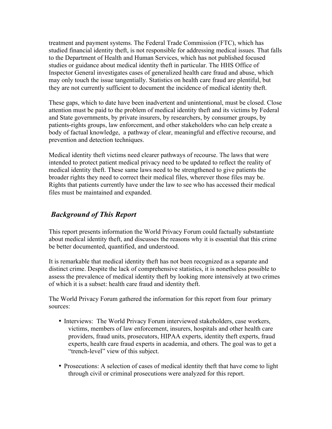treatment and payment systems. The Federal Trade Commission (FTC), which has studied financial identity theft, is not responsible for addressing medical issues. That falls to the Department of Health and Human Services, which has not published focused studies or guidance about medical identity theft in particular. The HHS Office of Inspector General investigates cases of generalized health care fraud and abuse, which may only touch the issue tangentially. Statistics on health care fraud are plentiful, but they are not currently sufficient to document the incidence of medical identity theft.

These gaps, which to date have been inadvertent and unintentional, must be closed. Close attention must be paid to the problem of medical identity theft and its victims by Federal and State governments, by private insurers, by researchers, by consumer groups, by patients-rights groups, law enforcement, and other stakeholders who can help create a body of factual knowledge, a pathway of clear, meaningful and effective recourse, and prevention and detection techniques.

Medical identity theft victims need clearer pathways of recourse. The laws that were intended to protect patient medical privacy need to be updated to reflect the reality of medical identity theft. These same laws need to be strengthened to give patients the broader rights they need to correct their medical files, wherever those files may be. Rights that patients currently have under the law to see who has accessed their medical files must be maintained and expanded.

#### *Background of This Report*

This report presents information the World Privacy Forum could factually substantiate about medical identity theft, and discusses the reasons why it is essential that this crime be better documented, quantified, and understood.

It is remarkable that medical identity theft has not been recognized as a separate and distinct crime. Despite the lack of comprehensive statistics, it is nonetheless possible to assess the prevalence of medical identity theft by looking more intensively at two crimes of which it is a subset: health care fraud and identity theft.

The World Privacy Forum gathered the information for this report from four primary sources:

- Interviews: The World Privacy Forum interviewed stakeholders, case workers, victims, members of law enforcement, insurers, hospitals and other health care providers, fraud units, prosecutors, HIPAA experts, identity theft experts, fraud experts, health care fraud experts in academia, and others. The goal was to get a "trench-level" view of this subject.
- Prosecutions: A selection of cases of medical identity theft that have come to light through civil or criminal prosecutions were analyzed for this report.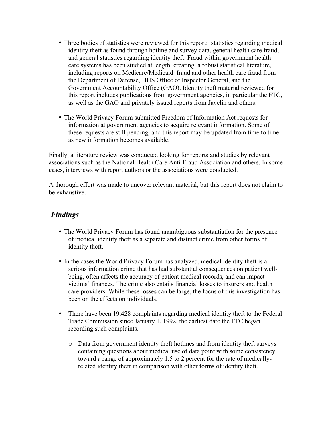- Three bodies of statistics were reviewed for this report: statistics regarding medical identity theft as found through hotline and survey data, general health care fraud, and general statistics regarding identity theft. Fraud within government health care systems has been studied at length, creating a robust statistical literature, including reports on Medicare/Medicaid fraud and other health care fraud from the Department of Defense, HHS Office of Inspector General, and the Government Accountability Office (GAO). Identity theft material reviewed for this report includes publications from government agencies, in particular the FTC, as well as the GAO and privately issued reports from Javelin and others.
- The World Privacy Forum submitted Freedom of Information Act requests for information at government agencies to acquire relevant information. Some of these requests are still pending, and this report may be updated from time to time as new information becomes available.

Finally, a literature review was conducted looking for reports and studies by relevant associations such as the National Health Care Anti-Fraud Association and others. In some cases, interviews with report authors or the associations were conducted.

A thorough effort was made to uncover relevant material, but this report does not claim to be exhaustive.

### *Findings*

- The World Privacy Forum has found unambiguous substantiation for the presence of medical identity theft as a separate and distinct crime from other forms of identity theft.
- In the cases the World Privacy Forum has analyzed, medical identity theft is a serious information crime that has had substantial consequences on patient wellbeing, often affects the accuracy of patient medical records, and can impact victims' finances. The crime also entails financial losses to insurers and health care providers. While these losses can be large, the focus of this investigation has been on the effects on individuals.
- There have been 19,428 complaints regarding medical identity theft to the Federal Trade Commission since January 1, 1992, the earliest date the FTC began recording such complaints.
	- o Data from government identity theft hotlines and from identity theft surveys containing questions about medical use of data point with some consistency toward a range of approximately 1.5 to 2 percent for the rate of medicallyrelated identity theft in comparison with other forms of identity theft.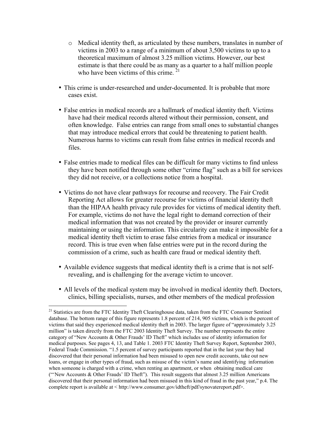- o Medical identity theft, as articulated by these numbers, translates in number of victims in 2003 to a range of a minimum of about 3,500 victims to up to a theoretical maximum of almost 3.25 million victims. However, our best estimate is that there could be as many as a quarter to a half million people who have been victims of this crime.  $21$
- This crime is under-researched and under-documented. It is probable that more cases exist.
- False entries in medical records are a hallmark of medical identity theft. Victims have had their medical records altered without their permission, consent, and often knowledge. False entries can range from small ones to substantial changes that may introduce medical errors that could be threatening to patient health. Numerous harms to victims can result from false entries in medical records and files.
- False entries made to medical files can be difficult for many victims to find unless they have been notified through some other "crime flag" such as a bill for services they did not receive, or a collections notice from a hospital.
- Victims do not have clear pathways for recourse and recovery. The Fair Credit Reporting Act allows for greater recourse for victims of financial identity theft than the HIPAA health privacy rule provides for victims of medical identity theft. For example, victims do not have the legal right to demand correction of their medical information that was not created by the provider or insurer currently maintaining or using the information. This circularity can make it impossible for a medical identity theft victim to erase false entries from a medical or insurance record. This is true even when false entries were put in the record during the commission of a crime, such as health care fraud or medical identity theft.
- Available evidence suggests that medical identity theft is a crime that is not selfrevealing, and is challenging for the average victim to uncover.
- All levels of the medical system may be involved in medical identity theft. Doctors, clinics, billing specialists, nurses, and other members of the medical profession

<sup>&</sup>lt;sup>21</sup> Statistics are from the FTC Identity Theft Clearinghouse data, taken from the FTC Consumer Sentinel database. The bottom range of this figure represents 1.8 percent of 214, 905 victims, which is the percent of victims that said they experienced medical identity theft in 2003. The larger figure of "approximately 3.25 million" is taken directly from the FTC 2003 Identity Theft Survey. The number represents the entire category of "New Accounts & Other Frauds' ID Theft" which includes use of identity information for medical purposes. See pages 4, 13, and Table 1. 2003 FTC Identity Theft Survey Report, September 2003, Federal Trade Commission. "1.5 percent of survey participants reported that in the last year they had discovered that their personal information had been misused to open new credit accounts, take out new loans, or engage in other types of fraud, such as misuse of the victim's name and identifying information when someone is charged with a crime, when renting an apartment, or when obtaining medical care ("New Accounts & Other Frauds' ID Theft"). This result suggests that almost 3.25 million Americans discovered that their personal information had been misused in this kind of fraud in the past year," p.4. The complete report is available at < http://www.consumer.gov/idtheft/pdf/synovatereport.pdf>.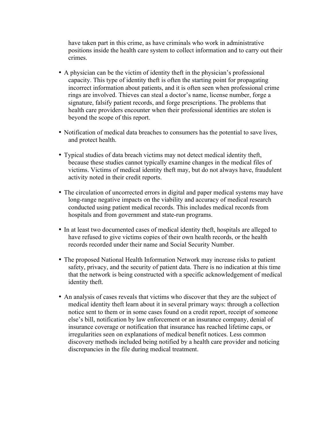have taken part in this crime, as have criminals who work in administrative positions inside the health care system to collect information and to carry out their crimes.

- A physician can be the victim of identity theft in the physician's professional capacity. This type of identity theft is often the starting point for propagating incorrect information about patients, and it is often seen when professional crime rings are involved. Thieves can steal a doctor's name, license number, forge a signature, falsify patient records, and forge prescriptions. The problems that health care providers encounter when their professional identities are stolen is beyond the scope of this report.
- Notification of medical data breaches to consumers has the potential to save lives, and protect health.
- Typical studies of data breach victims may not detect medical identity theft, because these studies cannot typically examine changes in the medical files of victims. Victims of medical identity theft may, but do not always have, fraudulent activity noted in their credit reports.
- The circulation of uncorrected errors in digital and paper medical systems may have long-range negative impacts on the viability and accuracy of medical research conducted using patient medical records. This includes medical records from hospitals and from government and state-run programs.
- In at least two documented cases of medical identity theft, hospitals are alleged to have refused to give victims copies of their own health records, or the health records recorded under their name and Social Security Number.
- The proposed National Health Information Network may increase risks to patient safety, privacy, and the security of patient data. There is no indication at this time that the network is being constructed with a specific acknowledgement of medical identity theft.
- An analysis of cases reveals that victims who discover that they are the subject of medical identity theft learn about it in several primary ways: through a collection notice sent to them or in some cases found on a credit report, receipt of someone else's bill, notification by law enforcement or an insurance company, denial of insurance coverage or notification that insurance has reached lifetime caps, or irregularities seen on explanations of medical benefit notices. Less common discovery methods included being notified by a health care provider and noticing discrepancies in the file during medical treatment.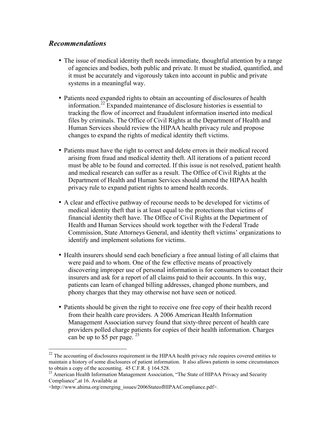#### *Recommendations*

- The issue of medical identity theft needs immediate, thoughtful attention by a range of agencies and bodies, both public and private. It must be studied, quantified, and it must be accurately and vigorously taken into account in public and private systems in a meaningful way.
- Patients need expanded rights to obtain an accounting of disclosures of health information.<sup>22</sup> Expanded maintenance of disclosure histories is essential to tracking the flow of incorrect and fraudulent information inserted into medical files by criminals. The Office of Civil Rights at the Department of Health and Human Services should review the HIPAA health privacy rule and propose changes to expand the rights of medical identity theft victims.
- Patients must have the right to correct and delete errors in their medical record arising from fraud and medical identity theft. All iterations of a patient record must be able to be found and corrected. If this issue is not resolved, patient health and medical research can suffer as a result. The Office of Civil Rights at the Department of Health and Human Services should amend the HIPAA health privacy rule to expand patient rights to amend health records.
- A clear and effective pathway of recourse needs to be developed for victims of medical identity theft that is at least equal to the protections that victims of financial identity theft have. The Office of Civil Rights at the Department of Health and Human Services should work together with the Federal Trade Commission, State Attorneys General, and identity theft victims' organizations to identify and implement solutions for victims.
- Health insurers should send each beneficiary a free annual listing of all claims that were paid and to whom. One of the few effective means of proactively discovering improper use of personal information is for consumers to contact their insurers and ask for a report of all claims paid to their accounts. In this way, patients can learn of changed billing addresses, changed phone numbers, and phony charges that they may otherwise not have seen or noticed.
- Patients should be given the right to receive one free copy of their health record from their health care providers. A 2006 American Health Information Management Association survey found that sixty-three percent of health care providers polled charge patients for copies of their health information. Charges can be up to \$5 per page. <sup>23</sup>

<sup>&</sup>lt;sup>22</sup> The accounting of disclosures requirement in the HIPAA health privacy rule requires covered entities to maintain a history of some disclosures of patient information. It also allows patients in some circumstances to obtain a copy of the accounting. 45 C.F.R. § 164.528.

<sup>&</sup>lt;sup>23</sup> American Health Information Management Association, "The State of HIPAA Privacy and Security Compliance",at 16. Available at

<sup>&</sup>lt;http://www.ahima.org/emerging\_issues/2006StateofHIPAACompliance.pdf>.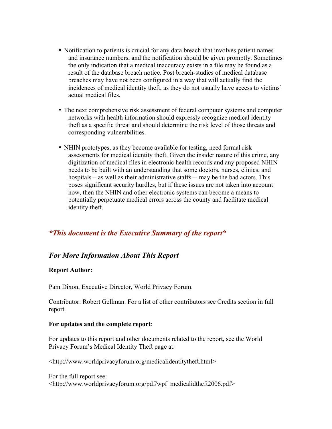- Notification to patients is crucial for any data breach that involves patient names and insurance numbers, and the notification should be given promptly. Sometimes the only indication that a medical inaccuracy exists in a file may be found as a result of the database breach notice. Post breach-studies of medical database breaches may have not been configured in a way that will actually find the incidences of medical identity theft, as they do not usually have access to victims' actual medical files.
- The next comprehensive risk assessment of federal computer systems and computer networks with health information should expressly recognize medical identity theft as a specific threat and should determine the risk level of those threats and corresponding vulnerabilities.
- NHIN prototypes, as they become available for testing, need formal risk assessments for medical identity theft. Given the insider nature of this crime, any digitization of medical files in electronic health records and any proposed NHIN needs to be built with an understanding that some doctors, nurses, clinics, and hospitals – as well as their administrative staffs -- may be the bad actors. This poses significant security hurdles, but if these issues are not taken into account now, then the NHIN and other electronic systems can become a means to potentially perpetuate medical errors across the county and facilitate medical identity theft.

#### *\*This document is the Executive Summary of the report\**

#### *For More Information About This Report*

#### Report Author:

Pam Dixon, Executive Director, World Privacy Forum.

Contributor: Robert Gellman. For a list of other contributors see Credits section in full report.

#### For updates and the complete report:

For updates to this report and other documents related to the report, see the World Privacy Forum's Medical Identity Theft page at:

<http://www.worldprivacyforum.org/medicalidentitytheft.html>

For the full report see: <http://www.worldprivacyforum.org/pdf/wpf\_medicalidtheft2006.pdf>